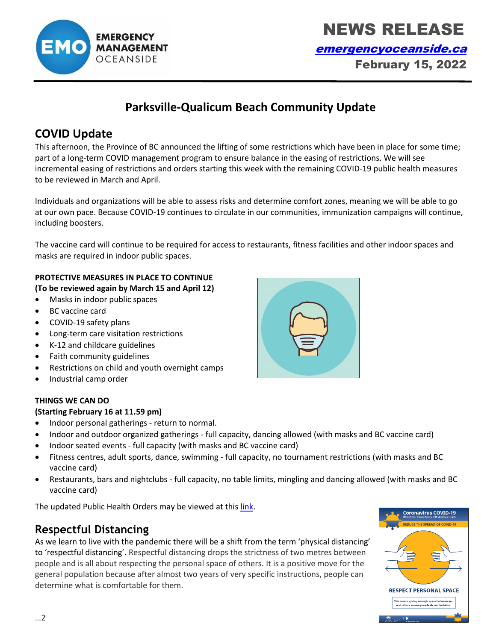

 NEWS RELEASE [emergencyoceanside.ca](http://www.emergencyoceanside.ca/) February 15, 2022

# **Parksville-Qualicum Beach Community Update**

# **COVID Update**

This afternoon, the Province of BC announced the lifting of some restrictions which have been in place for some time; part of a long-term COVID management program to ensure balance in the easing of restrictions. We will see incremental easing of restrictions and orders starting this week with the remaining COVID-19 public health measures to be reviewed in March and April.

Individuals and organizations will be able to assess risks and determine comfort zones, meaning we will be able to go at our own pace. Because COVID-19 continues to circulate in our communities, immunization campaigns will continue, including boosters.

The vaccine card will continue to be required for access to restaurants, fitness facilities and other indoor spaces and masks are required in indoor public spaces.

#### **PROTECTIVE MEASURES IN PLACE TO CONTINUE**

**(To be reviewed again by March 15 and April 12)**

- Masks in indoor public spaces
- BC vaccine card
- COVID-19 safety plans
- Long-term care visitation restrictions
- K-12 and childcare guidelines
- Faith community guidelines
- Restrictions on child and youth overnight camps
- Industrial camp order

### **THINGS WE CAN DO**

#### **(Starting February 16 at 11.59 pm)**

- Indoor personal gatherings return to normal.
- Indoor and outdoor organized gatherings full capacity, dancing allowed (with masks and BC vaccine card)
- Indoor seated events full capacity (with masks and BC vaccine card)
- Fitness centres, adult sports, dance, swimming full capacity, no tournament restrictions (with masks and BC vaccine card)
- Restaurants, bars and nightclubs full capacity, no table limits, mingling and dancing allowed (with masks and BC vaccine card)

The updated Public Health Orders may be viewed at this [link.](https://www2.gov.bc.ca/gov/content/covid-19/info/restrictions)

## **Respectful Distancing**

As we learn to live with the pandemic there will be a shift from the term 'physical distancing' to 'respectful distancing'. Respectful distancing drops the strictness of two metres between people and is all about respecting the personal space of others. It is a positive move for the general population because after almost two years of very specific instructions, people can determine what is comfortable for them.